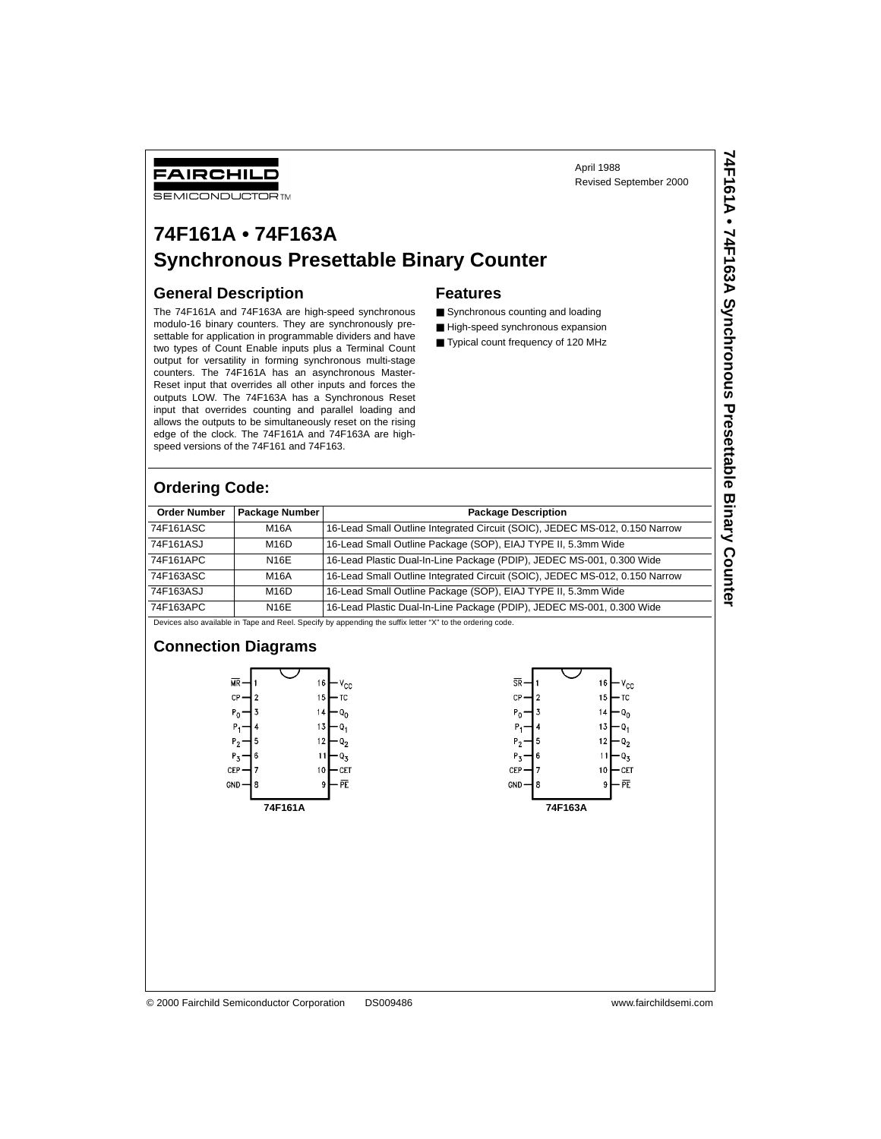April 1988 Revised September 2000 **74F161A • 74F163A Synchronous Presettable Binary Counter**

74F161A • 74F163A Synchronous Presettable Binary Counter

### FAIRCHILD

**SEMICONDUCTOR TM** 

## **74F161A • 74F163A Synchronous Presettable Binary Counter**

### **General Description**

The 74F161A and 74F163A are high-speed synchronous modulo-16 binary counters. They are synchronously presettable for application in programmable dividers and have two types of Count Enable inputs plus a Terminal Count output for versatility in forming synchronous multi-stage counters. The 74F161A has an asynchronous Master-Reset input that overrides all other inputs and forces the outputs LOW. The 74F163A has a Synchronous Reset input that overrides counting and parallel loading and allows the outputs to be simultaneously reset on the rising edge of the clock. The 74F161A and 74F163A are highspeed versions of the 74F161 and 74F163.

### **Features**

- Synchronous counting and loading
- High-speed synchronous expansion
- Typical count frequency of 120 MHz

### **Ordering Code:**

| <b>Order Number</b> | Package Number | <b>Package Description</b>                                                                                       |
|---------------------|----------------|------------------------------------------------------------------------------------------------------------------|
| 74F161ASC           | M16A           | 16-Lead Small Outline Integrated Circuit (SOIC), JEDEC MS-012, 0.150 Narrow                                      |
| 74F161ASJ           | M16D           | 16-Lead Small Outline Package (SOP), EIAJ TYPE II, 5.3mm Wide                                                    |
| 74F161APC           | N16E           | 16-Lead Plastic Dual-In-Line Package (PDIP), JEDEC MS-001, 0.300 Wide                                            |
| 74F163ASC           | M16A           | 16-Lead Small Outline Integrated Circuit (SOIC), JEDEC MS-012, 0.150 Narrow                                      |
| 74F163ASJ           | M16D           | 16-Lead Small Outline Package (SOP), EIAJ TYPE II, 5.3mm Wide                                                    |
| 74F163APC           | N16E           | 16-Lead Plastic Dual-In-Line Package (PDIP), JEDEC MS-001, 0.300 Wide                                            |
|                     |                | Dende and a constitute to Texas and Deat Dead of the composition the conflict texas (W) to the contentral and de |

Devices also available in Tape and Reel. Specify by appending the suffix letter "X" to the ordering code

#### **Connection Diagrams**





© 2000 Fairchild Semiconductor Corporation DS009486 www.fairchildsemi.com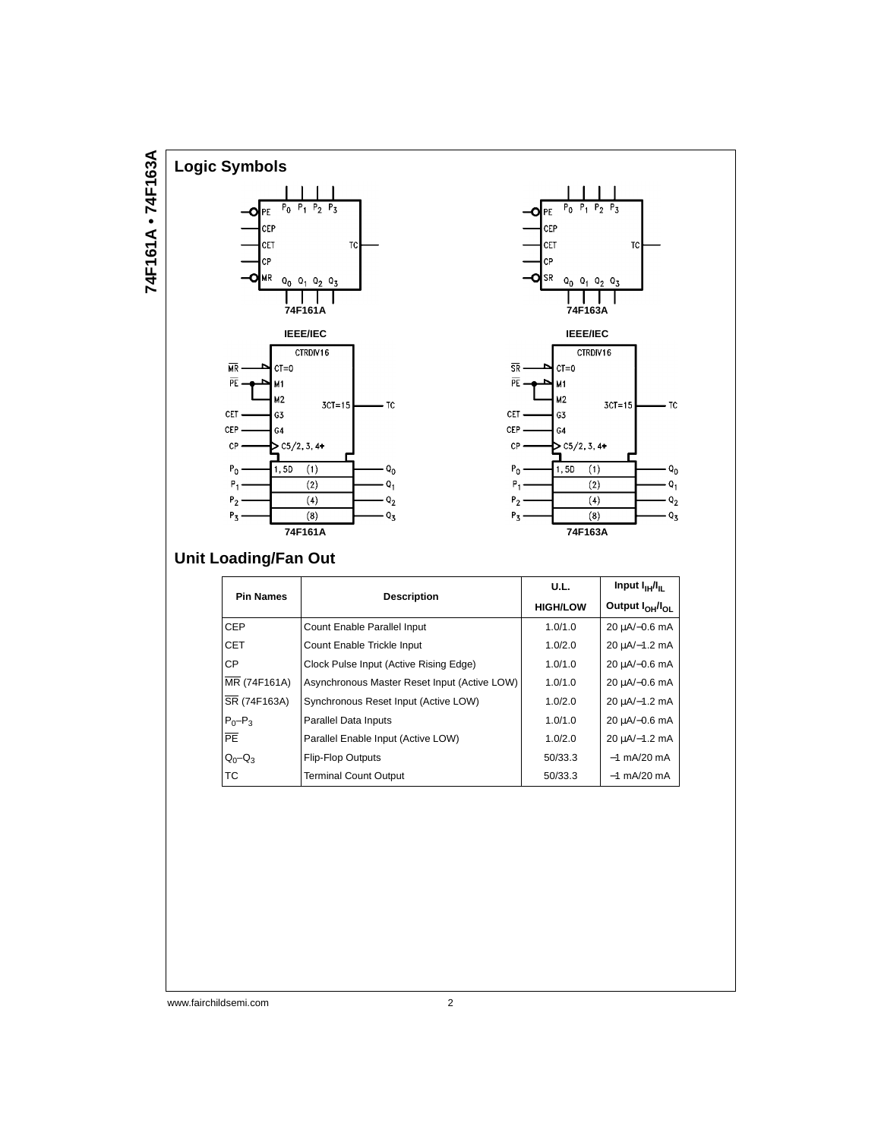#### **Logic Symbols**  $P_0$  $P_1$  $P_2$   $P_3$ PE n CEP **CET** TC  $CP$ MR  $Q_0$  $Q_1$   $Q_2$   $Q_3$ **74F161A IEEE/IEC** CTRDIV16  $\overline{\text{MR}}$  $CT=0$  $\overline{\mathsf{PE}}$ M1 M2  $3CT=15$  $-$  TC CET. G3  $CEP$ G4  $\mathsf{CP}$  $\geq$  C5/2, 3, 4+  $P_0$  $\overline{1,50}$  $(1)$ Q<sub>0</sub>  $P_1$  $(2)$  $Q_1$  $\frac{1}{2}$  $\overline{(4)}$  $P_2$  $P_3$  $(8)$  $\cdot$  Q<sub>3</sub> **74F161A**



### **Unit Loading/Fan Out**

**74F161A • 74F163A**

74F161A . 74F163A

| <b>Pin Names</b> |                                              | Input $I_{\text{H}}/I_{\text{H}}$<br>U.L. |                                         |
|------------------|----------------------------------------------|-------------------------------------------|-----------------------------------------|
|                  | <b>Description</b>                           | <b>HIGH/LOW</b>                           | Output I <sub>OH</sub> /I <sub>OL</sub> |
| <b>CEP</b>       | Count Enable Parallel Input                  | 1.0/1.0                                   | 20 µA/-0.6 mA                           |
| CET              | Count Enable Trickle Input                   | 1.0/2.0                                   | 20 uA/-1.2 mA                           |
| <b>CP</b>        | Clock Pulse Input (Active Rising Edge)       | 1.0/1.0                                   | 20 µA/-0.6 mA                           |
| MR (74F161A)     | Asynchronous Master Reset Input (Active LOW) | 1.0/1.0                                   | 20 µA/-0.6 mA                           |
| SR (74F163A)     | Synchronous Reset Input (Active LOW)         | 1.0/2.0                                   | 20 µA/-1.2 mA                           |
| $P_0-P_3$        | Parallel Data Inputs                         | 1.0/1.0                                   | 20 µA/-0.6 mA                           |
| $\overline{PE}$  | Parallel Enable Input (Active LOW)           | 1.0/2.0                                   | 20 µA/-1.2 mA                           |
| $Q_0 - Q_3$      | <b>Flip-Flop Outputs</b>                     | 50/33.3                                   | $-1$ mA/20 mA                           |
| <b>TC</b>        | <b>Terminal Count Output</b>                 | 50/33.3                                   | $-1$ mA/20 mA                           |

www.fairchildsemi.com 2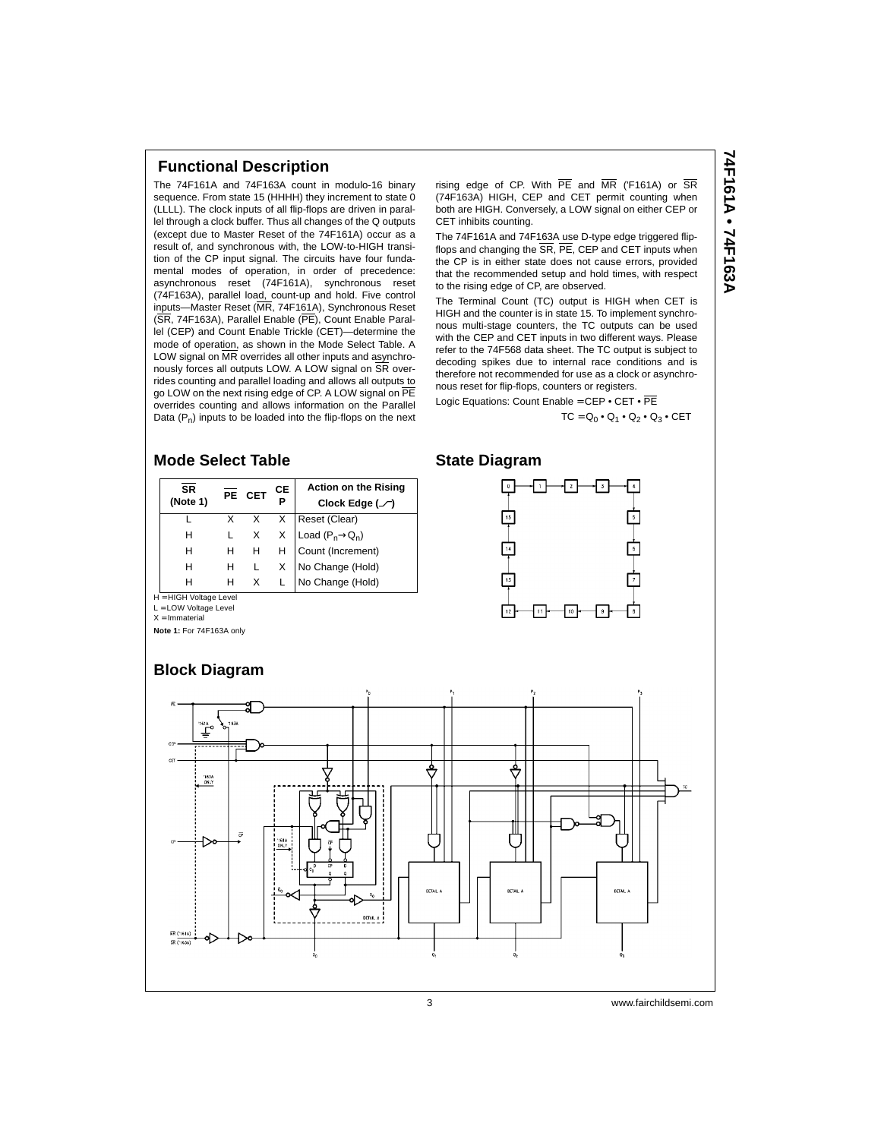### **Functional Description**

The 74F161A and 74F163A count in modulo-16 binary sequence. From state 15 (HHHH) they increment to state 0 (LLLL). The clock inputs of all flip-flops are driven in parallel through a clock buffer. Thus all changes of the Q outputs (except due to Master Reset of the 74F161A) occur as a result of, and synchronous with, the LOW-to-HIGH transition of the CP input signal. The circuits have four fundamental modes of operation, in order of precedence: asynchronous reset (74F161A), synchronous reset (74F163A), parallel load, count-up and hold. Five control inputs—Master Reset (MR, 74F161A), Synchronous Reset (SR, 74F163A), Parallel Enable (PE), Count Enable Parallel (CEP) and Count Enable Trickle (CET)—determine the mode of operation, as shown in the Mode Select Table. A LOW signal on  $\overline{\text{MR}}$  overrides all other inputs and asynchronously forces all outputs LOW. A LOW signal on SR overrides counting and parallel loading and allows all outputs to go LOW on the next rising edge of CP. A LOW signal on PE overrides counting and allows information on the Parallel Data  $(P_n)$  inputs to be loaded into the flip-flops on the next

rising edge of CP. With  $\overline{PE}$  and  $\overline{MR}$  ('F161A) or  $\overline{SR}$ (74F163A) HIGH, CEP and CET permit counting when both are HIGH. Conversely, a LOW signal on either CEP or CET inhibits counting.

The 74F161A and 74F163A use D-type edge triggered flipflops and changing the SR, PE, CEP and CET inputs when the CP is in either state does not cause errors, provided that the recommended setup and hold times, with respect to the rising edge of CP, are observed.

The Terminal Count (TC) output is HIGH when CET is HIGH and the counter is in state 15. To implement synchronous multi-stage counters, the TC outputs can be used with the CEP and CET inputs in two different ways. Please refer to the 74F568 data sheet. The TC output is subject to decoding spikes due to internal race conditions and is therefore not recommended for use as a clock or asynchronous reset for flip-flops, counters or registers.

Logic Equations: Count Enable = CEP . CET . PE

#### $TC = Q_0 \cdot Q_1 \cdot Q_2 \cdot Q_3 \cdot CET$

#### **Mode Select Table**

| <b>SR</b><br>(Note 1) |   | PE CET   | CЕ | <b>Action on the Rising</b><br>Clock Edge $(\_ )$ |
|-----------------------|---|----------|----|---------------------------------------------------|
|                       |   | X.       | X  | Reset (Clear)                                     |
| н                     |   | $\times$ | X  | Load $(P_n \rightarrow Q_n)$                      |
| н                     | н | H        | H  | Count (Increment)                                 |
| н                     | н |          | X  | No Change (Hold)                                  |
| н                     | н | X        |    | No Change (Hold)                                  |

**State Diagram**



**Note 1:** For 74F163A only

H = HIGH Voltage Level L = LOW Voltage Level X = Immaterial

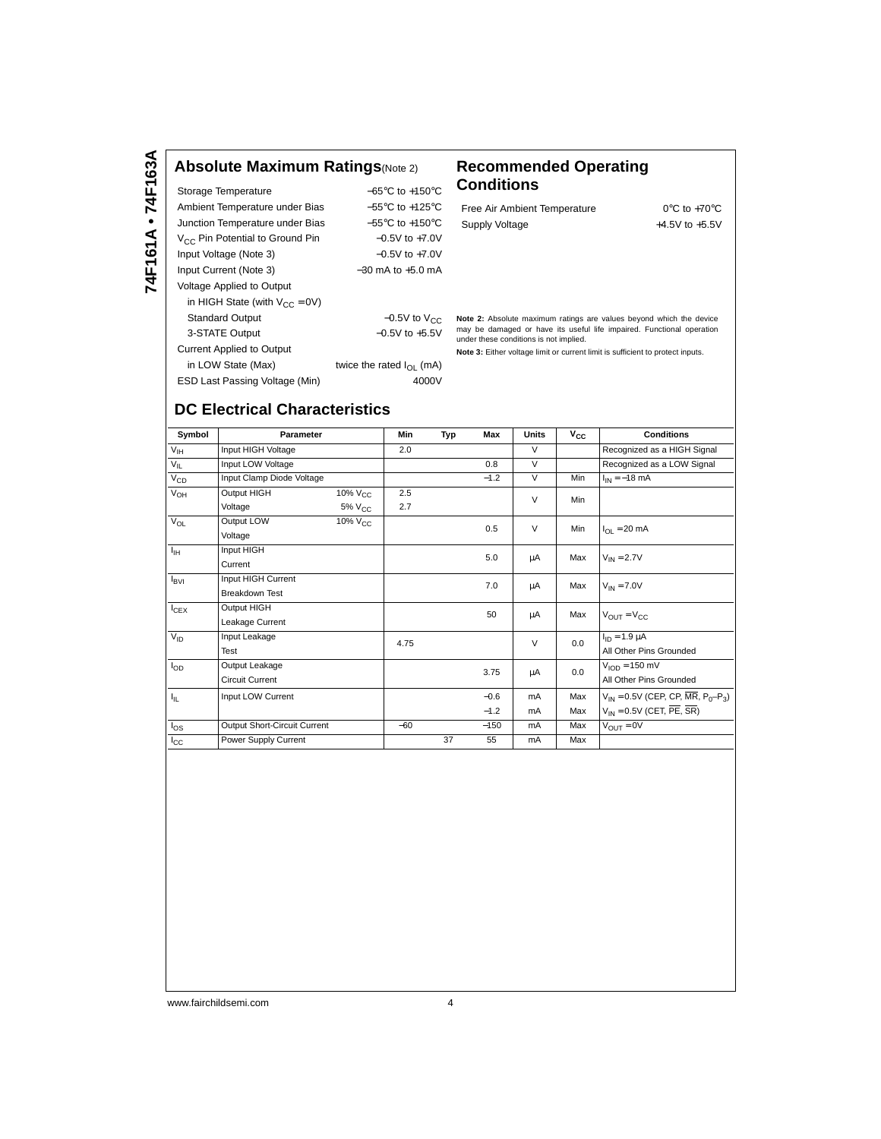### **Absolute Maximum Ratings**(Note 2) **Recommended Operating**

| Storage Temperature                         | $-65^{\circ}$ C to $+150^{\circ}$ C |
|---------------------------------------------|-------------------------------------|
| Ambient Temperature under Bias              | $-55^{\circ}$ C to $+125^{\circ}$ C |
| Junction Temperature under Bias             | $-55^{\circ}$ C to $+150^{\circ}$ C |
| V <sub>CC</sub> Pin Potential to Ground Pin | $-0.5V$ to $+7.0V$                  |
| Input Voltage (Note 3)                      | $-0.5V$ to $+7.0V$                  |
| Input Current (Note 3)                      | $-30$ mA to $+5.0$ mA               |
| Voltage Applied to Output                   |                                     |
| in HIGH State (with $V_{CC} = 0V$ )         |                                     |
| <b>Standard Output</b>                      | $-0.5V$ to $V_{CC}$                 |
| 3-STATE Output                              | $-0.5V$ to $+5.5V$                  |
| <b>Current Applied to Output</b>            |                                     |
| in LOW State (Max)                          | twice the rated $I_{\Omega}$ (mA)   |
| ESD Last Passing Voltage (Min)              | 4000V                               |
|                                             |                                     |

# **Conditions**

| Free Air Ambient Temperature | $0^{\circ}$ C to +70 $^{\circ}$ C |
|------------------------------|-----------------------------------|
| Supply Voltage               | $+4.5V$ to $+5.5V$                |

**Note 2:** Absolute maximum ratings are values beyond which the device may be damaged or have its useful life impaired. Functional operation under these conditions is not implied.

**Note 3:** Either voltage limit or current limit is sufficient to protect inputs.

### **DC Electrical Characteristics**

| Symbol           | Parameter                    |                     | Min   | Typ | Max    | Units  | $v_{\rm cc}$ | <b>Conditions</b>                                                            |
|------------------|------------------------------|---------------------|-------|-----|--------|--------|--------------|------------------------------------------------------------------------------|
| $V_{\text{IH}}$  | Input HIGH Voltage           |                     | 2.0   |     |        | $\vee$ |              | Recognized as a HIGH Signal                                                  |
| $V_{IL}$         | Input LOW Voltage            |                     |       |     | 0.8    | $\vee$ |              | Recognized as a LOW Signal                                                   |
| $V_{CD}$         | Input Clamp Diode Voltage    |                     |       |     | $-1.2$ | $\vee$ | Min          | $I_{IN} = -18$ mA                                                            |
| $V_{OH}$         | Output HIGH                  | 10% V <sub>CC</sub> | 2.5   |     |        | $\vee$ | Min          |                                                                              |
|                  | Voltage                      | $5\%$ $V_{CC}$      | 2.7   |     |        |        |              |                                                                              |
| $V_{OL}$         | Output LOW                   | $10\%$ $V_{CC}$     |       |     | 0.5    | $\vee$ | Min          | $I_{OL} = 20$ mA                                                             |
|                  | Voltage                      |                     |       |     |        |        |              |                                                                              |
| $I_{\rm IH}$     | Input HIGH                   |                     |       |     | 5.0    | μA     | Max          | $V_{IN} = 2.7V$                                                              |
|                  | Current                      |                     |       |     |        |        |              |                                                                              |
| $I_{\text{BVI}}$ | Input HIGH Current           |                     |       |     | 7.0    | μA     | Max          | $V_{IN} = 7.0V$                                                              |
|                  | <b>Breakdown Test</b>        |                     |       |     |        |        |              |                                                                              |
| $I_{CEX}$        | Output HIGH                  |                     |       |     | 50     | μA     | Max          | $V_{\text{OUT}} = V_{\text{CC}}$                                             |
|                  | Leakage Current              |                     |       |     |        |        |              |                                                                              |
| $V_{ID}$         | Input Leakage                |                     | 4.75  |     |        | $\vee$ | 0.0          | $I_{1D} = 1.9 \mu A$                                                         |
|                  | Test                         |                     |       |     |        |        |              | All Other Pins Grounded                                                      |
| $I_{OD}$         | Output Leakage               |                     |       |     | 3.75   | μA     | 0.0          | $V_{\text{IOD}} = 150 \text{ mV}$                                            |
|                  | <b>Circuit Current</b>       |                     |       |     |        |        |              | All Other Pins Grounded                                                      |
| ŀμ,              | Input LOW Current            |                     |       |     | $-0.6$ | mA     | Max          | $V_{IN} = 0.5V$ (CEP, CP, $\overline{MR}$ , P <sub>0</sub> -P <sub>3</sub> ) |
|                  |                              |                     |       |     | $-1.2$ | mA     | Max          | $V_{IN} = 0.5V$ (CET, PE, SR)                                                |
| $I_{OS}$         | Output Short-Circuit Current |                     | $-60$ |     | $-150$ | mA     | Max          | $V_{OUT} = 0V$                                                               |
| $I_{\rm CC}$     | Power Supply Current         |                     |       | 37  | 55     | mA     | Max          |                                                                              |